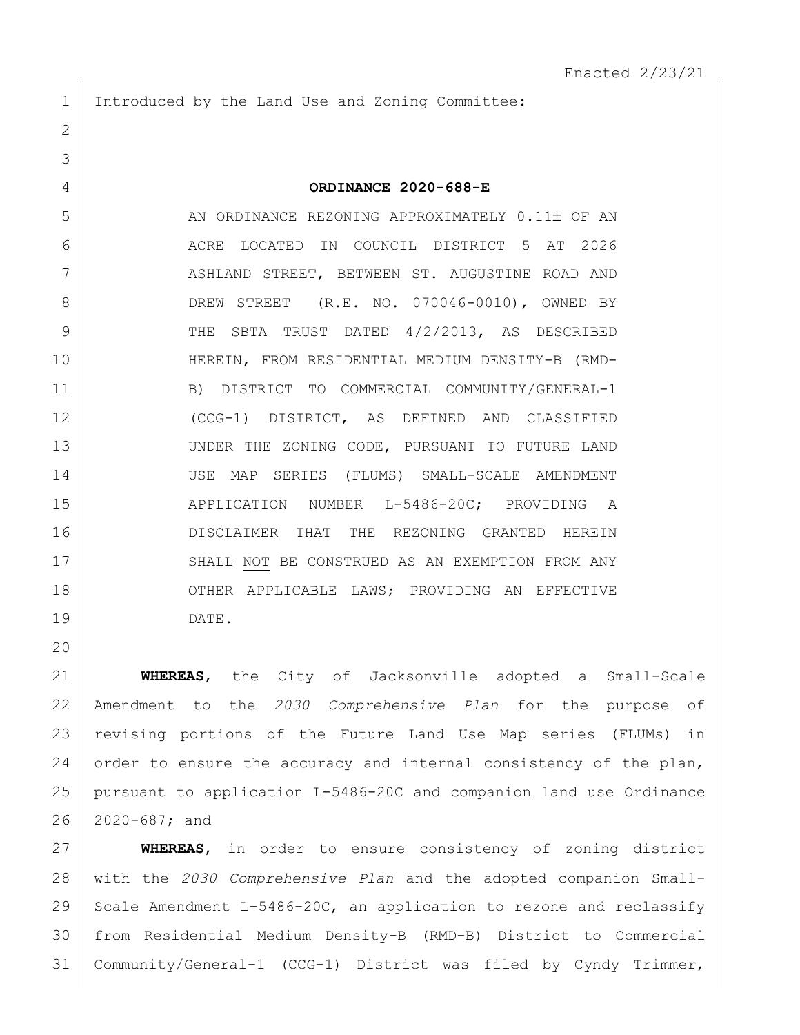1 Introduced by the Land Use and Zoning Committee:

## **ORDINANCE 2020-688-E**

5 AN ORDINANCE REZONING APPROXIMATELY 0.11± OF AN ACRE LOCATED IN COUNCIL DISTRICT 5 AT 2026 ASHLAND STREET, BETWEEN ST. AUGUSTINE ROAD AND 8 DREW STREET (R.E. NO. 070046-0010), OWNED BY 9 THE SBTA TRUST DATED 4/2/2013, AS DESCRIBED HEREIN, FROM RESIDENTIAL MEDIUM DENSITY-B (RMD- B) DISTRICT TO COMMERCIAL COMMUNITY/GENERAL-1 (CCG-1) DISTRICT, AS DEFINED AND CLASSIFIED 13 UNDER THE ZONING CODE, PURSUANT TO FUTURE LAND USE MAP SERIES (FLUMS) SMALL-SCALE AMENDMENT 15 | APPLICATION NUMBER L-5486-20C; PROVIDING A 16 DISCLAIMER THAT THE REZONING GRANTED HEREIN 17 SHALL NOT BE CONSTRUED AS AN EXEMPTION FROM ANY 18 OTHER APPLICABLE LAWS; PROVIDING AN EFFECTIVE DATE.

 **WHEREAS**, the City of Jacksonville adopted a Small-Scale Amendment to the *2030 Comprehensive Plan* for the purpose of revising portions of the Future Land Use Map series (FLUMs) in 24 order to ensure the accuracy and internal consistency of the plan, pursuant to application L-5486-20C and companion land use Ordinance 2020-687; and

 **WHEREAS**, in order to ensure consistency of zoning district with the *2030 Comprehensive Plan* and the adopted companion Small-29 Scale Amendment L-5486-20C, an application to rezone and reclassify from Residential Medium Density-B (RMD-B) District to Commercial Community/General-1 (CCG-1) District was filed by Cyndy Trimmer,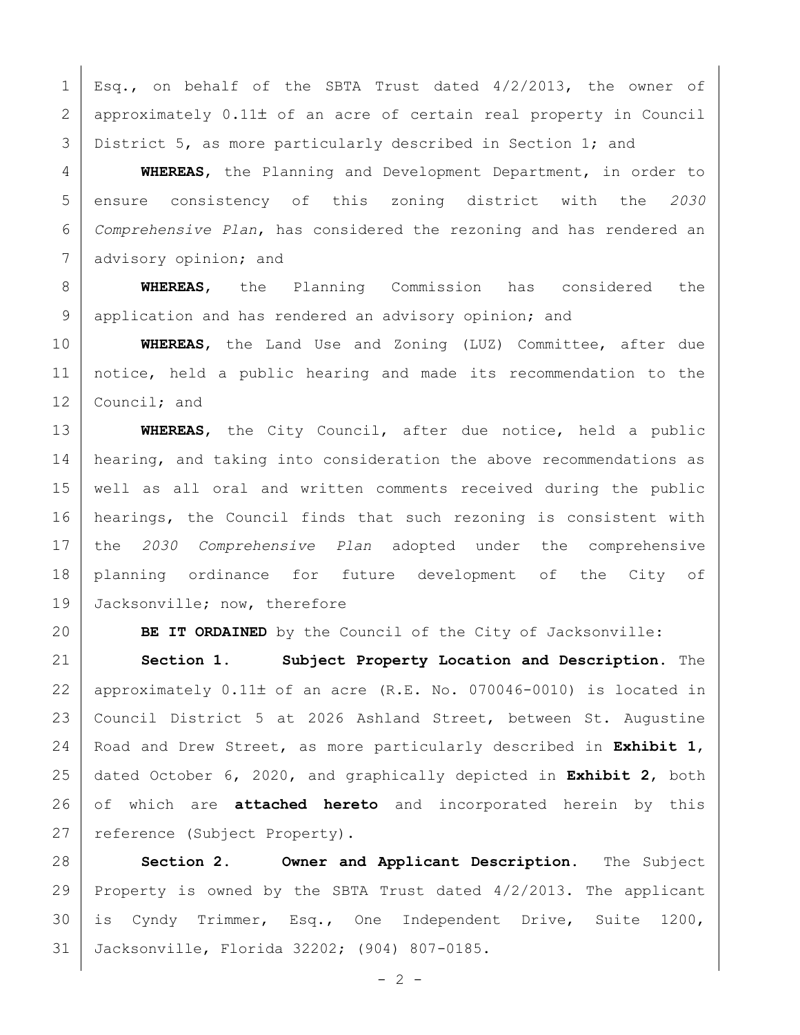1 Esq., on behalf of the SBTA Trust dated  $4/2/2013$ , the owner of 2 approximately 0.11± of an acre of certain real property in Council 3 District 5, as more particularly described in Section 1; and

 **WHEREAS**, the Planning and Development Department, in order to ensure consistency of this zoning district with the *2030 Comprehensive Plan*, has considered the rezoning and has rendered an 7 advisory opinion; and

 **WHEREAS**, the Planning Commission has considered the 9 application and has rendered an advisory opinion; and

 **WHEREAS**, the Land Use and Zoning (LUZ) Committee, after due notice, held a public hearing and made its recommendation to the 12 Council; and

 **WHEREAS**, the City Council, after due notice, held a public 14 | hearing, and taking into consideration the above recommendations as well as all oral and written comments received during the public 16 | hearings, the Council finds that such rezoning is consistent with the *2030 Comprehensive Plan* adopted under the comprehensive planning ordinance for future development of the City of 19 Jacksonville; now, therefore

**BE IT ORDAINED** by the Council of the City of Jacksonville:

 **Section 1. Subject Property Location and Description.** The 22 | approximately  $0.11\pm$  of an acre (R.E. No. 070046-0010) is located in Council District 5 at 2026 Ashland Street, between St. Augustine Road and Drew Street, as more particularly described in **Exhibit 1**, dated October 6, 2020, and graphically depicted in **Exhibit 2**, both of which are **attached hereto** and incorporated herein by this 27 | reference (Subject Property).

 **Section 2. Owner and Applicant Description.** The Subject Property is owned by the SBTA Trust dated 4/2/2013. The applicant is Cyndy Trimmer, Esq., One Independent Drive, Suite 1200, Jacksonville, Florida 32202; (904) 807-0185.

 $- 2 -$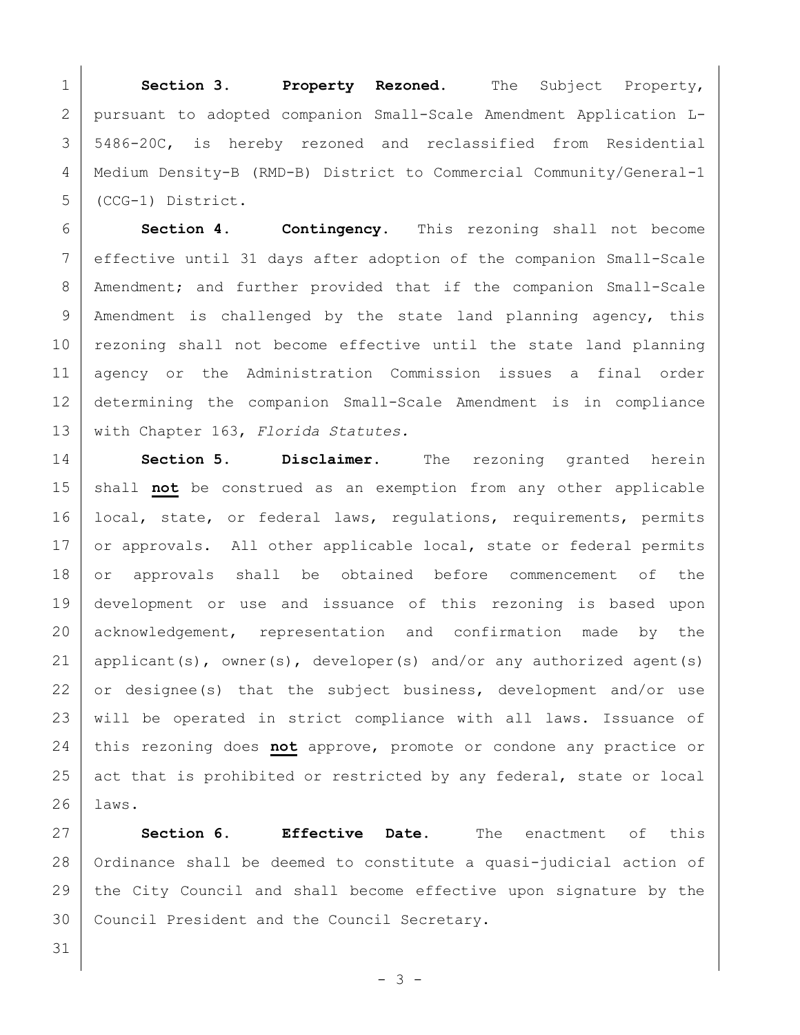**Section 3. Property Rezoned.** The Subject Property, pursuant to adopted companion Small-Scale Amendment Application L- 5486-20C, is hereby rezoned and reclassified from Residential Medium Density-B (RMD-B) District to Commercial Community/General-1 (CCG-1) District.

 **Section 4. Contingency.** This rezoning shall not become effective until 31 days after adoption of the companion Small-Scale 8 | Amendment; and further provided that if the companion Small-Scale 9 | Amendment is challenged by the state land planning agency, this 10 rezoning shall not become effective until the state land planning agency or the Administration Commission issues a final order determining the companion Small-Scale Amendment is in compliance with Chapter 163, *Florida Statutes.*

 **Section 5. Disclaimer.** The rezoning granted herein shall **not** be construed as an exemption from any other applicable 16 | local, state, or federal laws, regulations, requirements, permits 17 or approvals. All other applicable local, state or federal permits 18 or approvals shall be obtained before commencement of the development or use and issuance of this rezoning is based upon 20 acknowledgement, representation and confirmation made by the 21 | applicant(s), owner(s), developer(s) and/or any authorized agent(s) or designee(s) that the subject business, development and/or use 23 | will be operated in strict compliance with all laws. Issuance of this rezoning does **not** approve, promote or condone any practice or act that is prohibited or restricted by any federal, state or local laws.

 **Section 6. Effective Date.** The enactment of this 28 | Ordinance shall be deemed to constitute a quasi-judicial action of 29 the City Council and shall become effective upon signature by the Council President and the Council Secretary.